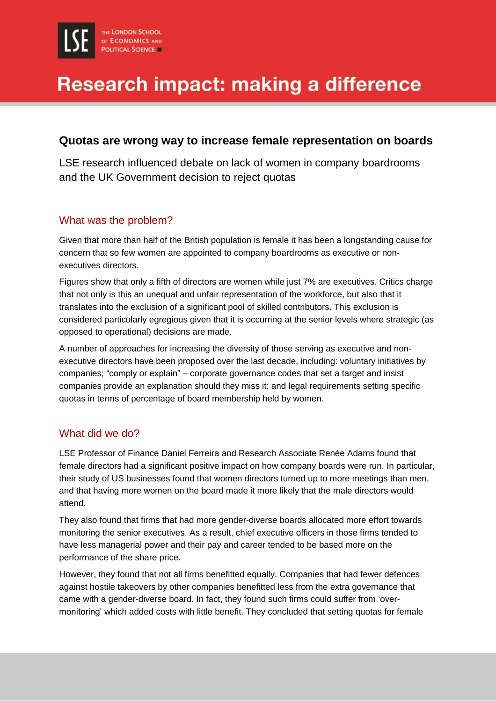# **Research impact: making a difference**

### **Quotas are wrong way to increase female representation on boards**

LSE research influenced debate on lack of women in company boardrooms and the UK Government decision to reject quotas

#### What was the problem?

Given that more than half of the British population is female it has been a longstanding cause for concern that so few women are appointed to company boardrooms as executive or nonexecutives directors.

Figures show that only a fifth of directors are women while just 7% are executives. Critics charge that not only is this an unequal and unfair representation of the workforce, but also that it translates into the exclusion of a significant pool of skilled contributors. This exclusion is considered particularly egregious given that it is occurring at the senior levels where strategic (as opposed to operational) decisions are made.

A number of approaches for increasing the diversity of those serving as executive and nonexecutive directors have been proposed over the last decade, including: voluntary initiatives by companies; "comply or explain" – corporate governance codes that set a target and insist companies provide an explanation should they miss it; and legal requirements setting specific quotas in terms of percentage of board membership held by women.

#### What did we do?

LSE Professor of Finance Daniel Ferreira and Research Associate Renée Adams found that female directors had a significant positive impact on how company boards were run. In particular, their study of US businesses found that women directors turned up to more meetings than men, and that having more women on the board made it more likely that the male directors would attend.

They also found that firms that had more gender-diverse boards allocated more effort towards monitoring the senior executives. As a result, chief executive officers in those firms tended to have less managerial power and their pay and career tended to be based more on the performance of the share price.

However, they found that not all firms benefitted equally. Companies that had fewer defences against hostile takeovers by other companies benefitted less from the extra governance that came with a gender-diverse board. In fact, they found such firms could suffer from 'overmonitoring' which added costs with little benefit. They concluded that setting quotas for female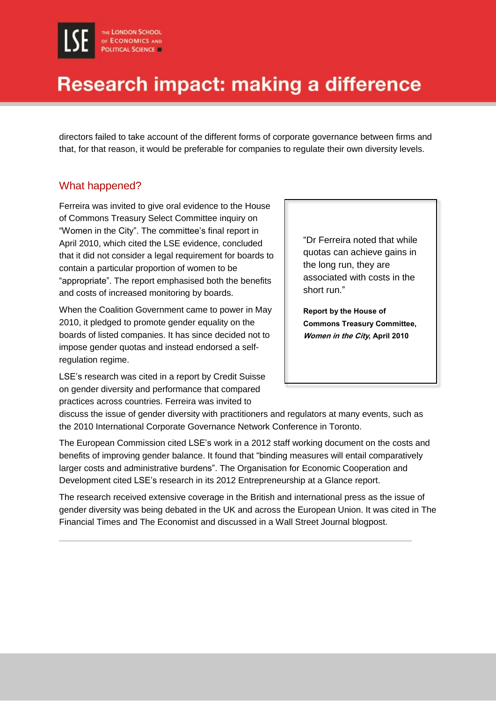## Research impact: making a difference

directors failed to take account of the different forms of corporate governance between firms and that, for that reason, it would be preferable for companies to regulate their own diversity levels.

#### What happened?

Ferreira was invited to give oral evidence to the House of Commons Treasury Select Committee inquiry on "Women in the City". The committee's final report in April 2010, which cited the LSE evidence, concluded that it did not consider a legal requirement for boards to contain a particular proportion of women to be "appropriate". The report emphasised both the benefits and costs of increased monitoring by boards.

When the Coalition Government came to power in May 2010, it pledged to promote gender equality on the boards of listed companies. It has since decided not to impose gender quotas and instead endorsed a selfregulation regime.

LSE's research was cited in a report by Credit Suisse on gender diversity and performance that compared practices across countries. Ferreira was invited to

"Dr Ferreira noted that while quotas can achieve gains in the long run, they are associated with costs in the short run."

**Report by the House of Commons Treasury Committee, Women in the City, April 2010**

discuss the issue of gender diversity with practitioners and regulators at many events, such as the 2010 International Corporate Governance Network Conference in Toronto.

The European Commission cited LSE's work in a 2012 staff working document on the costs and benefits of improving gender balance. It found that "binding measures will entail comparatively larger costs and administrative burdens". The Organisation for Economic Cooperation and Development cited LSE's research in its 2012 Entrepreneurship at a Glance report.

The research received extensive coverage in the British and international press as the issue of gender diversity was being debated in the UK and across the European Union. It was cited in The Financial Times and The Economist and discussed in a Wall Street Journal blogpost.